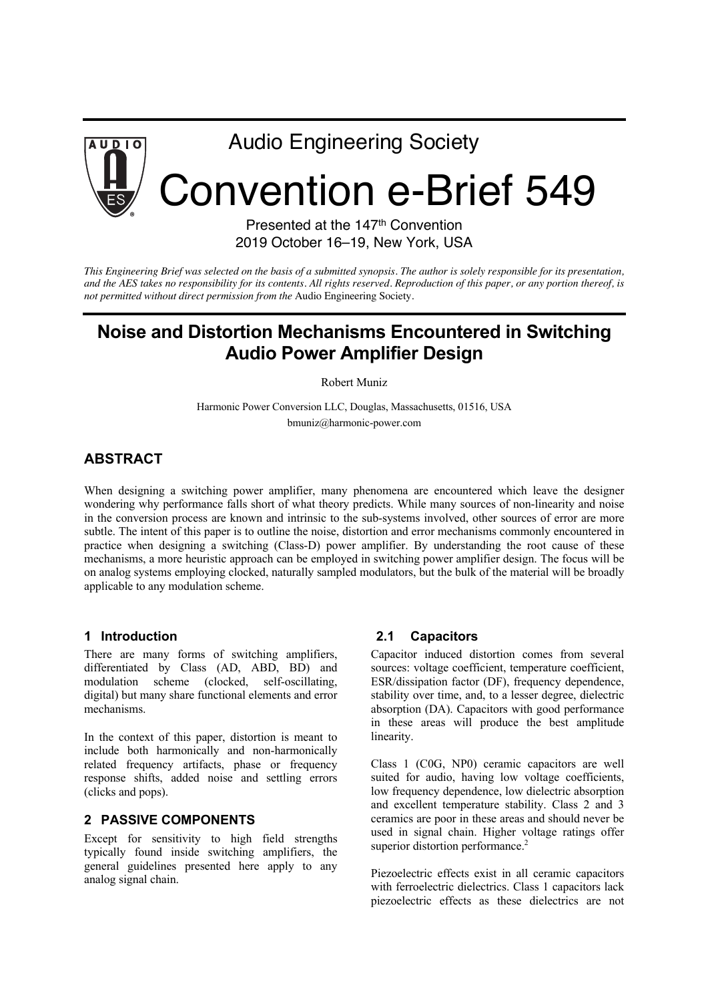

# Audio Engineering Society

# Convention e-Brief 549

Presented at the 147<sup>th</sup> Convention 2019 October 16–19, New York, USA

*This Engineering Brief was selected on the basis of a submitted synopsis. The author is solely responsible for its presentation, and the AES takes no responsibility for its contents. All rights reserved. Reproduction of this paper, or any portion thereof, is not permitted without direct permission from the* Audio Engineering Society.

# **Noise and Distortion Mechanisms Encountered in Switching Audio Power Amplifier Design**

Robert Muniz

Harmonic Power Conversion LLC, Douglas, Massachusetts, 01516, USA bmuniz@harmonic-power.com

# **ABSTRACT**

When designing a switching power amplifier, many phenomena are encountered which leave the designer wondering why performance falls short of what theory predicts. While many sources of non-linearity and noise in the conversion process are known and intrinsic to the sub-systems involved, other sources of error are more subtle. The intent of this paper is to outline the noise, distortion and error mechanisms commonly encountered in practice when designing a switching (Class-D) power amplifier. By understanding the root cause of these mechanisms, a more heuristic approach can be employed in switching power amplifier design. The focus will be on analog systems employing clocked, naturally sampled modulators, but the bulk of the material will be broadly applicable to any modulation scheme.

#### **1 Introduction**

There are many forms of switching amplifiers, differentiated by Class (AD, ABD, BD) and modulation scheme (clocked, self-oscillating, digital) but many share functional elements and error mechanisms.

In the context of this paper, distortion is meant to include both harmonically and non-harmonically related frequency artifacts, phase or frequency response shifts, added noise and settling errors (clicks and pops).

#### **2 PASSIVE COMPONENTS**

Except for sensitivity to high field strengths typically found inside switching amplifiers, the general guidelines presented here apply to any analog signal chain.

#### **2.1 Capacitors**

Capacitor induced distortion comes from several sources: voltage coefficient, temperature coefficient, ESR/dissipation factor (DF), frequency dependence, stability over time, and, to a lesser degree, dielectric absorption (DA). Capacitors with good performance in these areas will produce the best amplitude linearity.

Class 1 (C0G, NP0) ceramic capacitors are well suited for audio, having low voltage coefficients, low frequency dependence, low dielectric absorption and excellent temperature stability. Class 2 and 3 ceramics are poor in these areas and should never be used in signal chain. Higher voltage ratings offer superior distortion performance.<sup>2</sup>

Piezoelectric effects exist in all ceramic capacitors with ferroelectric dielectrics. Class 1 capacitors lack piezoelectric effects as these dielectrics are not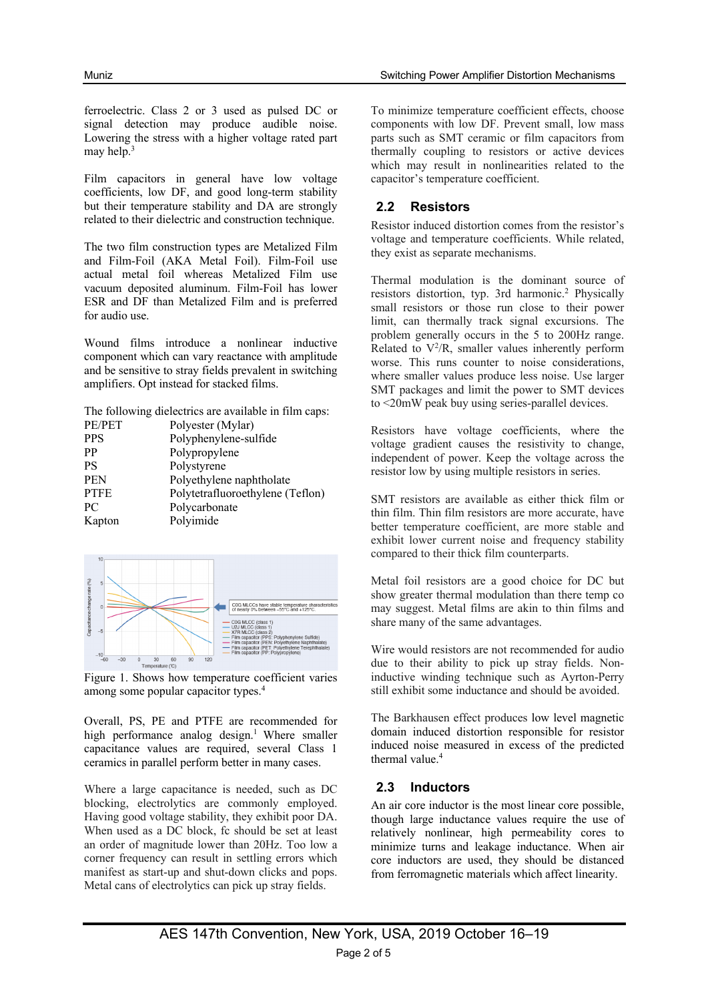ferroelectric. Class 2 or 3 used as pulsed DC or signal detection may produce audible noise. Lowering the stress with a higher voltage rated part may help. 3

Film capacitors in general have low voltage coefficients, low DF, and good long-term stability but their temperature stability and DA are strongly related to their dielectric and construction technique.

The two film construction types are Metalized Film and Film-Foil (AKA Metal Foil). Film-Foil use actual metal foil whereas Metalized Film use vacuum deposited aluminum. Film-Foil has lower ESR and DF than Metalized Film and is preferred for audio use.

Wound films introduce a nonlinear inductive component which can vary reactance with amplitude and be sensitive to stray fields prevalent in switching amplifiers. Opt instead for stacked films.

The following dielectrics are available in film caps:

| Polyester (Mylar)                |
|----------------------------------|
| Polyphenylene-sulfide            |
| Polypropylene                    |
| Polystyrene                      |
| Polyethylene naphtholate         |
| Polytetrafluoroethylene (Teflon) |
| Polycarbonate                    |
| Polyimide                        |
|                                  |



Figure 1. Shows how temperature coefficient varies among some popular capacitor types. 4

Overall, PS, PE and PTFE are recommended for high performance analog design. <sup>1</sup> Where smaller capacitance values are required, several Class 1 ceramics in parallel perform better in many cases.

Where a large capacitance is needed, such as DC blocking, electrolytics are commonly employed. Having good voltage stability, they exhibit poor DA. When used as a DC block, fc should be set at least an order of magnitude lower than 20Hz. Too low a corner frequency can result in settling errors which manifest as start-up and shut-down clicks and pops. Metal cans of electrolytics can pick up stray fields.

To minimize temperature coefficient effects, choose components with low DF. Prevent small, low mass parts such as SMT ceramic or film capacitors from thermally coupling to resistors or active devices which may result in nonlinearities related to the capacitor's temperature coefficient.

# **2.2 Resistors**

Resistor induced distortion comes from the resistor's voltage and temperature coefficients. While related, they exist as separate mechanisms.

Thermal modulation is the dominant source of resistors distortion, typ. 3rd harmonic. <sup>2</sup> Physically small resistors or those run close to their power limit, can thermally track signal excursions. The problem generally occurs in the 5 to 200Hz range. Related to  $V^2/R$ , smaller values inherently perform worse. This runs counter to noise considerations, where smaller values produce less noise. Use larger SMT packages and limit the power to SMT devices to <20mW peak buy using series-parallel devices.

Resistors have voltage coefficients, where the voltage gradient causes the resistivity to change, independent of power. Keep the voltage across the resistor low by using multiple resistors in series.

SMT resistors are available as either thick film or thin film. Thin film resistors are more accurate, have better temperature coefficient, are more stable and exhibit lower current noise and frequency stability compared to their thick film counterparts.

Metal foil resistors are a good choice for DC but show greater thermal modulation than there temp co may suggest. Metal films are akin to thin films and share many of the same advantages.

Wire would resistors are not recommended for audio due to their ability to pick up stray fields. Noninductive winding technique such as Ayrton-Perry still exhibit some inductance and should be avoided.

The Barkhausen effect produces low level magnetic domain induced distortion responsible for resistor induced noise measured in excess of the predicted thermal value.4

# **2.3 Inductors**

An air core inductor is the most linear core possible, though large inductance values require the use of relatively nonlinear, high permeability cores to minimize turns and leakage inductance. When air core inductors are used, they should be distanced from ferromagnetic materials which affect linearity.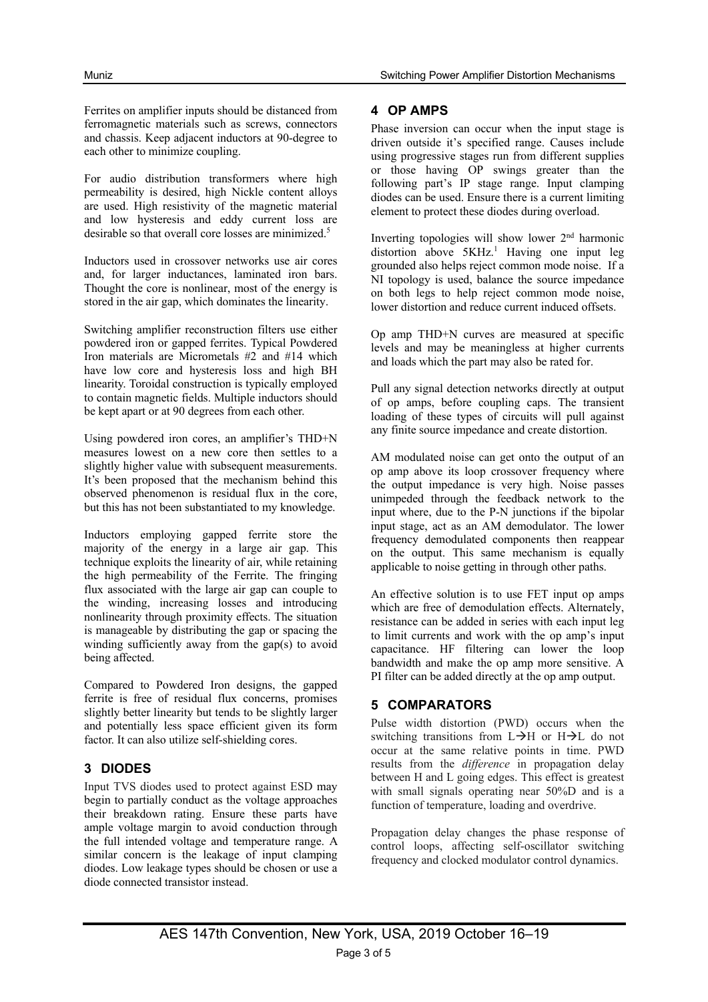Ferrites on amplifier inputs should be distanced from ferromagnetic materials such as screws, connectors and chassis. Keep adjacent inductors at 90-degree to each other to minimize coupling.

For audio distribution transformers where high permeability is desired, high Nickle content alloys are used. High resistivity of the magnetic material and low hysteresis and eddy current loss are desirable so that overall core losses are minimized.<sup>5</sup>

Inductors used in crossover networks use air cores and, for larger inductances, laminated iron bars. Thought the core is nonlinear, most of the energy is stored in the air gap, which dominates the linearity.

Switching amplifier reconstruction filters use either powdered iron or gapped ferrites. Typical Powdered Iron materials are Micrometals #2 and #14 which have low core and hysteresis loss and high BH linearity. Toroidal construction is typically employed to contain magnetic fields. Multiple inductors should be kept apart or at 90 degrees from each other.

Using powdered iron cores, an amplifier's THD+N measures lowest on a new core then settles to a slightly higher value with subsequent measurements. It's been proposed that the mechanism behind this observed phenomenon is residual flux in the core, but this has not been substantiated to my knowledge.

Inductors employing gapped ferrite store the majority of the energy in a large air gap. This technique exploits the linearity of air, while retaining the high permeability of the Ferrite. The fringing flux associated with the large air gap can couple to the winding, increasing losses and introducing nonlinearity through proximity effects. The situation is manageable by distributing the gap or spacing the winding sufficiently away from the gap(s) to avoid being affected.

Compared to Powdered Iron designs, the gapped ferrite is free of residual flux concerns, promises slightly better linearity but tends to be slightly larger and potentially less space efficient given its form factor. It can also utilize self-shielding cores.

#### **3 DIODES**

Input TVS diodes used to protect against ESD may begin to partially conduct as the voltage approaches their breakdown rating. Ensure these parts have ample voltage margin to avoid conduction through the full intended voltage and temperature range. A similar concern is the leakage of input clamping diodes. Low leakage types should be chosen or use a diode connected transistor instead.

#### **4 OP AMPS**

Phase inversion can occur when the input stage is driven outside it's specified range. Causes include using progressive stages run from different supplies or those having OP swings greater than the following part's IP stage range. Input clamping diodes can be used. Ensure there is a current limiting element to protect these diodes during overload.

Inverting topologies will show lower  $2<sup>nd</sup>$  harmonic distortion above 5KHz. <sup>1</sup> Having one input leg grounded also helps reject common mode noise. If a NI topology is used, balance the source impedance on both legs to help reject common mode noise, lower distortion and reduce current induced offsets.

Op amp THD+N curves are measured at specific levels and may be meaningless at higher currents and loads which the part may also be rated for.

Pull any signal detection networks directly at output of op amps, before coupling caps. The transient loading of these types of circuits will pull against any finite source impedance and create distortion.

AM modulated noise can get onto the output of an op amp above its loop crossover frequency where the output impedance is very high. Noise passes unimpeded through the feedback network to the input where, due to the P-N junctions if the bipolar input stage, act as an AM demodulator. The lower frequency demodulated components then reappear on the output. This same mechanism is equally applicable to noise getting in through other paths.

An effective solution is to use FET input op amps which are free of demodulation effects. Alternately, resistance can be added in series with each input leg to limit currents and work with the op amp's input capacitance. HF filtering can lower the loop bandwidth and make the op amp more sensitive. A PI filter can be added directly at the op amp output.

#### **5 COMPARATORS**

Pulse width distortion (PWD) occurs when the switching transitions from  $L\rightarrow H$  or  $H\rightarrow L$  do not occur at the same relative points in time. PWD results from the *difference* in propagation delay between H and L going edges. This effect is greatest with small signals operating near 50%D and is a function of temperature, loading and overdrive.

Propagation delay changes the phase response of control loops, affecting self-oscillator switching frequency and clocked modulator control dynamics.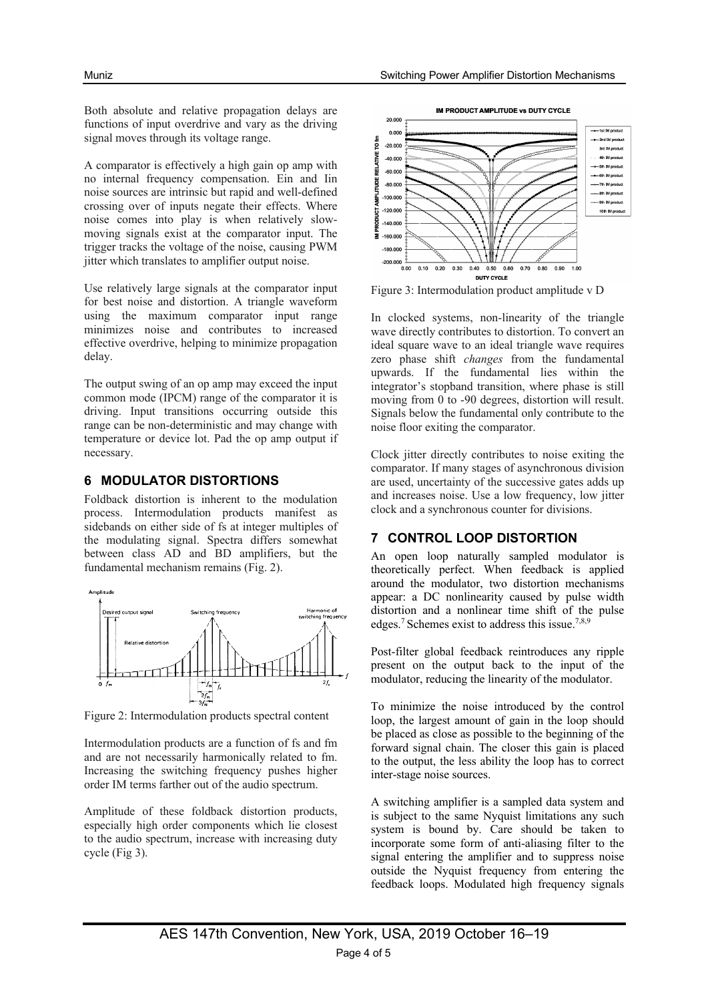Both absolute and relative propagation delays are functions of input overdrive and vary as the driving signal moves through its voltage range.

A comparator is effectively a high gain op amp with no internal frequency compensation. Ein and Iin noise sources are intrinsic but rapid and well-defined crossing over of inputs negate their effects. Where noise comes into play is when relatively slowmoving signals exist at the comparator input. The trigger tracks the voltage of the noise, causing PWM jitter which translates to amplifier output noise.

Use relatively large signals at the comparator input for best noise and distortion. A triangle waveform using the maximum comparator input range minimizes noise and contributes to increased effective overdrive, helping to minimize propagation delay.

The output swing of an op amp may exceed the input common mode (IPCM) range of the comparator it is driving. Input transitions occurring outside this range can be non-deterministic and may change with temperature or device lot. Pad the op amp output if necessary.

#### **6 MODULATOR DISTORTIONS**

Foldback distortion is inherent to the modulation process. Intermodulation products manifest as sidebands on either side of fs at integer multiples of the modulating signal. Spectra differs somewhat between class AD and BD amplifiers, but the fundamental mechanism remains (Fig. 2).



Figure 2: Intermodulation products spectral content

Intermodulation products are a function of fs and fm and are not necessarily harmonically related to fm. Increasing the switching frequency pushes higher order IM terms farther out of the audio spectrum.

Amplitude of these foldback distortion products, especially high order components which lie closest to the audio spectrum, increase with increasing duty cycle (Fig 3).





Figure 3: Intermodulation product amplitude v D

In clocked systems, non-linearity of the triangle wave directly contributes to distortion. To convert an ideal square wave to an ideal triangle wave requires zero phase shift *changes* from the fundamental upwards. If the fundamental lies within the integrator's stopband transition, where phase is still moving from 0 to -90 degrees, distortion will result. Signals below the fundamental only contribute to the noise floor exiting the comparator.

Clock jitter directly contributes to noise exiting the comparator. If many stages of asynchronous division are used, uncertainty of the successive gates adds up and increases noise. Use a low frequency, low jitter clock and a synchronous counter for divisions.

# **7 CONTROL LOOP DISTORTION**

An open loop naturally sampled modulator is theoretically perfect. When feedback is applied around the modulator, two distortion mechanisms appear: a DC nonlinearity caused by pulse width distortion and a nonlinear time shift of the pulse edges.7 Schemes exist to address this issue.7,8,9

Post-filter global feedback reintroduces any ripple present on the output back to the input of the modulator, reducing the linearity of the modulator.

To minimize the noise introduced by the control loop, the largest amount of gain in the loop should be placed as close as possible to the beginning of the forward signal chain. The closer this gain is placed to the output, the less ability the loop has to correct inter-stage noise sources.

A switching amplifier is a sampled data system and is subject to the same Nyquist limitations any such system is bound by. Care should be taken to incorporate some form of anti-aliasing filter to the signal entering the amplifier and to suppress noise outside the Nyquist frequency from entering the feedback loops. Modulated high frequency signals